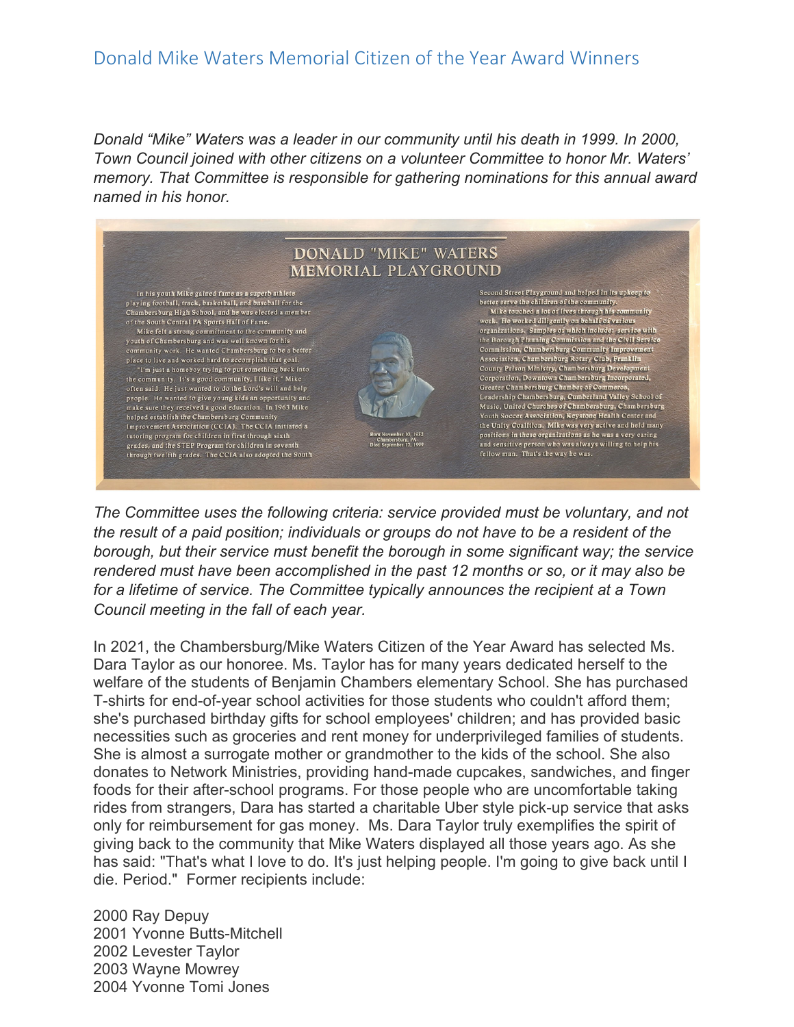## Donald Mike Waters Memorial Citizen of the Year Award Winners

*Donald "Mike" Waters was a leader in our community until his death in 1999. In 2000, Town Council joined with other citizens on a volunteer Committee to honor Mr. Waters' memory. That Committee is responsible for gathering nominations for this annual award named in his honor.* 



*The Committee uses the following criteria: service provided must be voluntary, and not the result of a paid position; individuals or groups do not have to be a resident of the borough, but their service must benefit the borough in some significant way; the service rendered must have been accomplished in the past 12 months or so, or it may also be for a lifetime of service. The Committee typically announces the recipient at a Town Council meeting in the fall of each year.* 

In 2021, the Chambersburg/Mike Waters Citizen of the Year Award has selected Ms. Dara Taylor as our honoree. Ms. Taylor has for many years dedicated herself to the welfare of the students of Benjamin Chambers elementary School. She has purchased T-shirts for end-of-year school activities for those students who couldn't afford them; she's purchased birthday gifts for school employees' children; and has provided basic necessities such as groceries and rent money for underprivileged families of students. She is almost a surrogate mother or grandmother to the kids of the school. She also donates to Network Ministries, providing hand-made cupcakes, sandwiches, and finger foods for their after-school programs. For those people who are uncomfortable taking rides from strangers, Dara has started a charitable Uber style pick-up service that asks only for reimbursement for gas money. Ms. Dara Taylor truly exemplifies the spirit of giving back to the community that Mike Waters displayed all those years ago. As she has said: "That's what I love to do. It's just helping people. I'm going to give back until I die. Period." Former recipients include:

2000 Ray Depuy 2001 Yvonne Butts-Mitchell 2002 Levester Taylor 2003 Wayne Mowrey 2004 Yvonne Tomi Jones